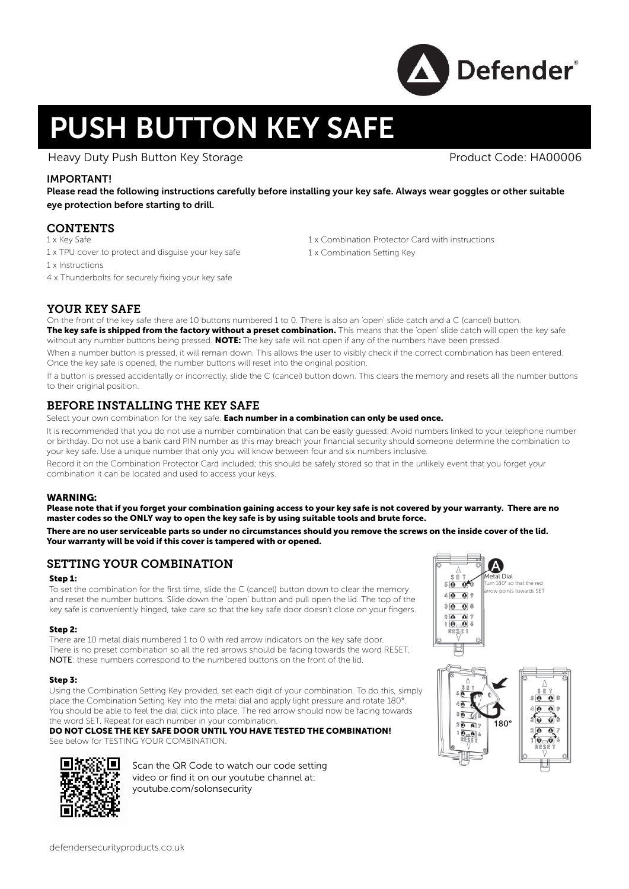

# PUSH BUTTON KEY SAFE

Heavy Duty Push Button Key Storage New York Product Code: HA00006

## IMPORTANT!

Please read the following instructions carefully before installing your key safe. Always wear goggles or other suitable eye protection before starting to drill.

## **CONTENTS**

- 1 x Key Safe
- 1 x TPU cover to protect and disguise your key safe
- 1 x Instructions
- 4 x Thunderbolts for securely fixing your key safe
- 1 x Combination Protector Card with instructions
- 1 x Combination Setting Key

# YOUR KEY SAFE

On the front of the key safe there are 10 buttons numbered 1 to 0. There is also an 'open' slide catch and a C (cancel) button. The key safe is shipped from the factory without a preset combination. This means that the 'open' slide catch will open the key safe without any number buttons being pressed. NOTE: The key safe will not open if any of the numbers have been pressed.

When a number button is pressed, it will remain down. This allows the user to visibly check if the correct combination has been entered. Once the key safe is opened, the number buttons will reset into the original position.

If a button is pressed accidentally or incorrectly, slide the C (cancel) button down. This clears the memory and resets all the number buttons to their original position.

## BEFORE INSTALLING THE KEY SAFE

Select your own combination for the key safe. Each number in a combination can only be used once.

It is recommended that you do not use a number combination that can be easily quessed. Avoid numbers linked to your telephone number or birthday. Do not use a bank card PIN number as this may breach your financial security should someone determine the combination to your key safe. Use a unique number that only you will know between four and six numbers inclusive.

Record it on the Combination Protector Card included; this should be safely stored so that in the unlikely event that you forget your combination it can be located and used to access your keys.

#### WARNING:

Please note that if you forget your combination gaining access to your key safe is not covered by your warranty. There are no master codes so the ONLY way to open the key safe is by using suitable tools and brute force.

There are no user serviceable parts so under no circumstances should you remove the screws on the inside cover of the lid. Your warranty will be void if this cover is tampered with or opened.

## SETTING YOUR COMBINATION

#### Step 1:

To set the combination for the first time, slide the C (cancel) button down to clear the memory and reset the number buttons. Slide down the 'open' button and pull open the lid. The top of the key safe is conveniently hinged, take care so that the key safe door doesn't close on your fingers.

#### Step 2:

There are 10 metal dials numbered 1 to 0 with red arrow indicators on the key safe door. There is no preset combination so all the red arrows should be facing towards the word RESET. NOTE: these numbers correspond to the numbered buttons on the front of the lid.

#### Step 3:

Using the Combination Setting Key provided, set each digit of your combination. To do this, simply place the Combination Setting Key into the metal dial and apply light pressure and rotate 180°. .<br>You should be able to feel the dial click into place. The red arrow should now be facing towards the word SET. Repeat for each number in your combination.

#### DO NOT CLOSE THE KEY SAFE DOOR UNTIL YOU HAVE TESTED THE COMBINATION! See below for TESTING YOUR COMBINATION.



Scan the QR Code to watch our code setting video or find it on our youtube channel at: youtube.com/solonsecurity